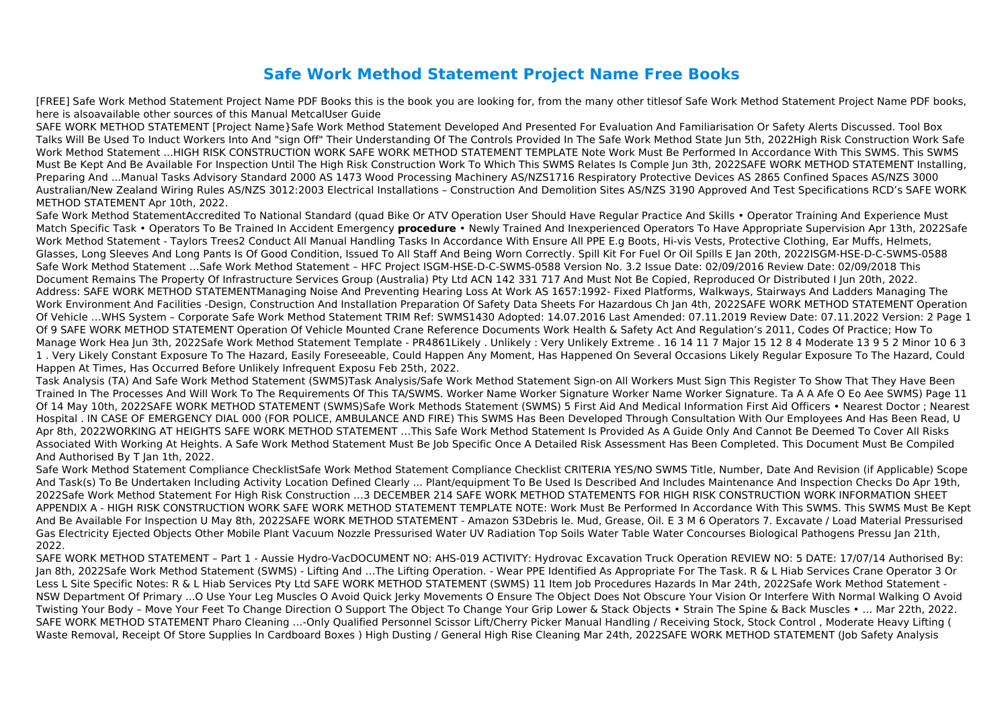## **Safe Work Method Statement Project Name Free Books**

[FREE] Safe Work Method Statement Project Name PDF Books this is the book you are looking for, from the many other titlesof Safe Work Method Statement Project Name PDF books, here is alsoavailable other sources of this Manual MetcalUser Guide

SAFE WORK METHOD STATEMENT [Project Name}Safe Work Method Statement Developed And Presented For Evaluation And Familiarisation Or Safety Alerts Discussed. Tool Box Talks Will Be Used To Induct Workers Into And "sign Off" Their Understanding Of The Controls Provided In The Safe Work Method State Jun 5th, 2022High Risk Construction Work Safe Work Method Statement ...HIGH RISK CONSTRUCTION WORK SAFE WORK METHOD STATEMENT TEMPLATE Note Work Must Be Performed In Accordance With This SWMS. This SWMS Must Be Kept And Be Available For Inspection Until The High Risk Construction Work To Which This SWMS Relates Is Comple Jun 3th, 2022SAFE WORK METHOD STATEMENT Installing, Preparing And ...Manual Tasks Advisory Standard 2000 AS 1473 Wood Processing Machinery AS/NZS1716 Respiratory Protective Devices AS 2865 Confined Spaces AS/NZS 3000 Australian/New Zealand Wiring Rules AS/NZS 3012:2003 Electrical Installations – Construction And Demolition Sites AS/NZS 3190 Approved And Test Specifications RCD's SAFE WORK METHOD STATEMENT Apr 10th, 2022.

Safe Work Method StatementAccredited To National Standard (quad Bike Or ATV Operation User Should Have Regular Practice And Skills • Operator Training And Experience Must Match Specific Task • Operators To Be Trained In Accident Emergency **procedure** • Newly Trained And Inexperienced Operators To Have Appropriate Supervision Apr 13th, 2022Safe Work Method Statement - Taylors Trees2 Conduct All Manual Handling Tasks In Accordance With Ensure All PPE E.g Boots, Hi-vis Vests, Protective Clothing, Ear Muffs, Helmets, Glasses, Long Sleeves And Long Pants Is Of Good Condition, Issued To All Staff And Being Worn Correctly. Spill Kit For Fuel Or Oil Spills E Jan 20th, 2022ISGM-HSE-D-C-SWMS-0588 Safe Work Method Statement …Safe Work Method Statement – HFC Project ISGM-HSE-D-C-SWMS-0588 Version No. 3.2 Issue Date: 02/09/2016 Review Date: 02/09/2018 This Document Remains The Property Of Infrastructure Services Group (Australia) Pty Ltd ACN 142 331 717 And Must Not Be Copied, Reproduced Or Distributed I Jun 20th, 2022. Address: SAFE WORK METHOD STATEMENTManaging Noise And Preventing Hearing Loss At Work AS 1657:1992- Fixed Platforms, Walkways, Stairways And Ladders Managing The Work Environment And Facilities -Design, Construction And Installation Preparation Of Safety Data Sheets For Hazardous Ch Jan 4th, 2022SAFE WORK METHOD STATEMENT Operation Of Vehicle …WHS System – Corporate Safe Work Method Statement TRIM Ref: SWMS1430 Adopted: 14.07.2016 Last Amended: 07.11.2019 Review Date: 07.11.2022 Version: 2 Page 1 Of 9 SAFE WORK METHOD STATEMENT Operation Of Vehicle Mounted Crane Reference Documents Work Health & Safety Act And Regulation's 2011, Codes Of Practice; How To Manage Work Hea Jun 3th, 2022Safe Work Method Statement Template - PR4861Likely . Unlikely : Very Unlikely Extreme . 16 14 11 7 Major 15 12 8 4 Moderate 13 9 5 2 Minor 10 6 3 1 . Very Likely Constant Exposure To The Hazard, Easily Foreseeable, Could Happen Any Moment, Has Happened On Several Occasions Likely Regular Exposure To The Hazard, Could Happen At Times, Has Occurred Before Unlikely Infrequent Exposu Feb 25th, 2022.

Task Analysis (TA) And Safe Work Method Statement (SWMS)Task Analysis/Safe Work Method Statement Sign-on All Workers Must Sign This Register To Show That They Have Been Trained In The Processes And Will Work To The Requirements Of This TA/SWMS. Worker Name Worker Signature Worker Name Worker Signature. Ta A A Afe O Eo Aee SWMS) Page 11 Of 14 May 10th, 2022SAFE WORK METHOD STATEMENT (SWMS)Safe Work Methods Statement (SWMS) 5 First Aid And Medical Information First Aid Officers • Nearest Doctor ; Nearest Hospital . IN CASE OF EMERGENCY DIAL 000 (FOR POLICE, AMBULANCE AND FIRE) This SWMS Has Been Developed Through Consultation With Our Employees And Has Been Read, U Apr 8th, 2022WORKING AT HEIGHTS SAFE WORK METHOD STATEMENT …This Safe Work Method Statement Is Provided As A Guide Only And Cannot Be Deemed To Cover All Risks Associated With Working At Heights. A Safe Work Method Statement Must Be Job Specific Once A Detailed Risk Assessment Has Been Completed. This Document Must Be Compiled And Authorised By T Jan 1th, 2022.

Safe Work Method Statement Compliance ChecklistSafe Work Method Statement Compliance Checklist CRITERIA YES/NO SWMS Title, Number, Date And Revision (if Applicable) Scope And Task(s) To Be Undertaken Including Activity Location Defined Clearly ... Plant/equipment To Be Used Is Described And Includes Maintenance And Inspection Checks Do Apr 19th, 2022Safe Work Method Statement For High Risk Construction …3 DECEMBER 214 SAFE WORK METHOD STATEMENTS FOR HIGH RISK CONSTRUCTION WORK INFORMATION SHEET APPENDIX A - HIGH RISK CONSTRUCTION WORK SAFE WORK METHOD STATEMENT TEMPLATE NOTE: Work Must Be Performed In Accordance With This SWMS. This SWMS Must Be Kept And Be Available For Inspection U May 8th, 2022SAFE WORK METHOD STATEMENT - Amazon S3Debris Ie. Mud, Grease, Oil. E 3 M 6 Operators 7. Excavate / Load Material Pressurised Gas Electricity Ejected Objects Other Mobile Plant Vacuum Nozzle Pressurised Water UV Radiation Top Soils Water Table Water Concourses Biological Pathogens Pressu Jan 21th, 2022.

SAFE WORK METHOD STATEMENT – Part 1 - Aussie Hydro-VacDOCUMENT NO: AHS-019 ACTIVITY: Hydrovac Excavation Truck Operation REVIEW NO: 5 DATE: 17/07/14 Authorised By: Jan 8th, 2022Safe Work Method Statement (SWMS) - Lifting And …The Lifting Operation. - Wear PPE Identified As Appropriate For The Task. R & L Hiab Services Crane Operator 3 Or Less L Site Specific Notes: R & L Hiab Services Pty Ltd SAFE WORK METHOD STATEMENT (SWMS) 11 Item Job Procedures Hazards In Mar 24th, 2022Safe Work Method Statement - NSW Department Of Primary ...O Use Your Leg Muscles O Avoid Quick Jerky Movements O Ensure The Object Does Not Obscure Your Vision Or Interfere With Normal Walking O Avoid Twisting Your Body – Move Your Feet To Change Direction O Support The Object To Change Your Grip Lower & Stack Objects • Strain The Spine & Back Muscles • … Mar 22th, 2022. SAFE WORK METHOD STATEMENT Pharo Cleaning …-Only Qualified Personnel Scissor Lift/Cherry Picker Manual Handling / Receiving Stock, Stock Control , Moderate Heavy Lifting ( Waste Removal, Receipt Of Store Supplies In Cardboard Boxes ) High Dusting / General High Rise Cleaning Mar 24th, 2022SAFE WORK METHOD STATEMENT (Job Safety Analysis